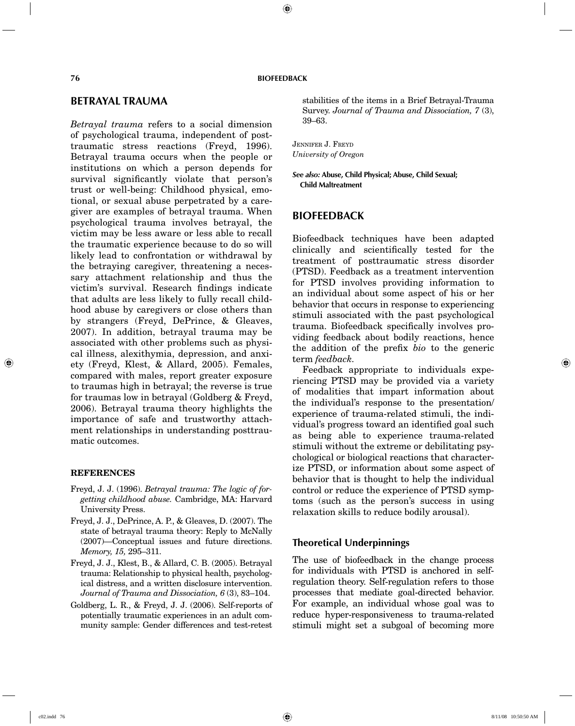## **BETRAYAL TRAUMA**

*Betrayal trauma* refers to a social dimension of psychological trauma, independent of posttraumatic stress reactions (Freyd, 1996). Betrayal trauma occurs when the people or institutions on which a person depends for survival significantly violate that person's trust or well-being: Childhood physical, emotional, or sexual abuse perpetrated by a caregiver are examples of betrayal trauma. When psychological trauma involves betrayal, the victim may be less aware or less able to recall the traumatic experience because to do so will likely lead to confrontation or withdrawal by the betraying caregiver, threatening a necessary attachment relationship and thus the victim's survival. Research findings indicate that adults are less likely to fully recall childhood abuse by caregivers or close others than by strangers (Freyd, DePrince, & Gleaves, 2007). In addition, betrayal trauma may be associated with other problems such as physical illness, alexithymia, depression, and anxiety (Freyd, Klest, & Allard, 2005). Females, compared with males, report greater exposure to traumas high in betrayal; the reverse is true for traumas low in betrayal (Goldberg  $&$  Freyd, 2006). Betrayal trauma theory highlights the importance of safe and trustworthy attachment relationships in understanding posttraumatic outcomes.

#### **REFERENCES**

- Freyd, J. J. (1996). *Betrayal trauma: The logic of forgetting childhood abuse.* Cambridge, MA: Harvard University Press.
- Freyd, J. J., DePrince, A. P., & Gleaves, D. (2007). The state of betrayal trauma theory: Reply to McNally (2007) — Conceptual issues and future directions. *Memory, 15, 295-311.*
- Freyd, J. J., Klest, B., & Allard, C. B. (2005). Betrayal trauma: Relationship to physical health, psychological distress, and a written disclosure intervention. Journal of Trauma and Dissociation, 6 (3), 83-104.
- Goldberg, L. R., & Freyd, J. J. (2006). Self-reports of potentially traumatic experiences in an adult community sample: Gender differences and test-retest

stabilities of the items in a Brief Betrayal-Trauma Survey. *Journal of Trauma and Dissociation, 7* (3), 39 – 63.

 JENNIFER J. FREYD  *University of Oregon* 

*See also:* **Abuse, Child Physical; Abuse, Child Sexual; Child Maltreatment** 

### **BIOFEEDBACK**

Biofeedback techniques have been adapted clinically and scientifically tested for the treatment of posttraumatic stress disorder (PTSD). Feedback as a treatment intervention for PTSD involves providing information to an individual about some aspect of his or her behavior that occurs in response to experiencing stimuli associated with the past psychological trauma. Biofeedback specifically involves providing feedback about bodily reactions, hence the addition of the prefix *bio* to the generic term *feedback.*

Feedback appropriate to individuals experiencing PTSD may be provided via a variety of modalities that impart information about the individual's response to the presentation experience of trauma-related stimuli, the individual's progress toward an identified goal such as being able to experience trauma-related stimuli without the extreme or debilitating psychological or biological reactions that characterize PTSD, or information about some aspect of behavior that is thought to help the individual control or reduce the experience of PTSD symptoms (such as the person's success in using relaxation skills to reduce bodily arousal).

## **Theoretical Underpinnings**

The use of biofeedback in the change process for individuals with PTSD is anchored in selfregulation theory. Self-regulation refers to those processes that mediate goal-directed behavior. For example, an individual whose goal was to reduce hyper-responsiveness to trauma-related stimuli might set a subgoal of becoming more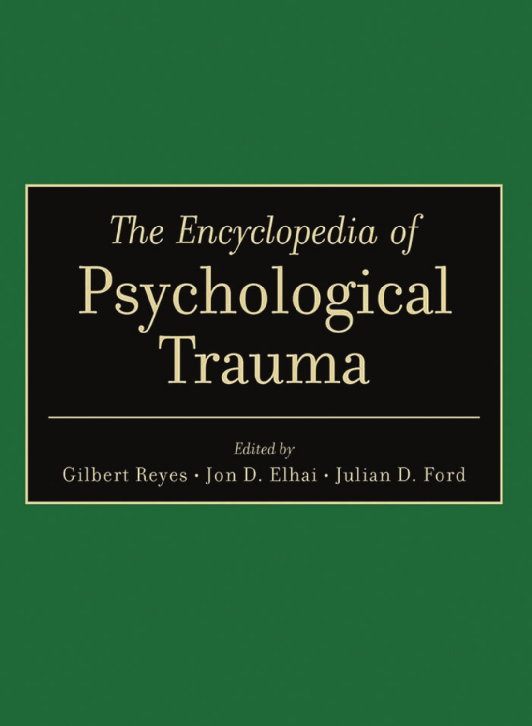# The Encyclopedia of Psychological Trauma

Edited by Gilbert Reyes . Jon D. Elhai . Julian D. Ford